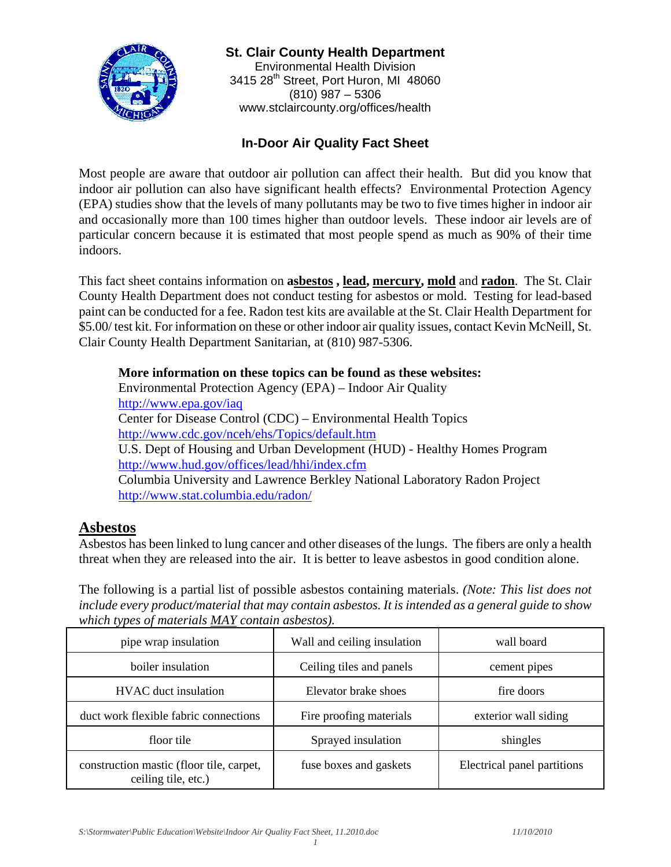

**St. Clair County Health Department**  Environmental Health Division 3415 28<sup>th</sup> Street, Port Huron, MI 48060 (810) 987 – 5306 www.stclaircounty.org/offices/health

### **In-Door Air Quality Fact Sheet**

Most people are aware that outdoor air pollution can affect their health. But did you know that indoor air pollution can also have significant health effects? Environmental Protection Agency (EPA) studies show that the levels of many pollutants may be two to five times higher in indoor air and occasionally more than 100 times higher than outdoor levels. These indoor air levels are of particular concern because it is estimated that most people spend as much as 90% of their time indoors.

This fact sheet contains information on **asbestos , lead, mercury, mold** and **radon**. The St. Clair County Health Department does not conduct testing for asbestos or mold. Testing for lead-based paint can be conducted for a fee. Radon test kits are available at the St. Clair Health Department for \$5.00/ test kit. For information on these or other indoor air quality issues, contact Kevin McNeill, St. Clair County Health Department Sanitarian, at (810) 987-5306.

**More information on these topics can be found as these websites:**  Environmental Protection Agency (EPA) – Indoor Air Quality http://www.epa.gov/iaq Center for Disease Control (CDC) – Environmental Health Topics http://www.cdc.gov/nceh/ehs/Topics/default.htm U.S. Dept of Housing and Urban Development (HUD) - Healthy Homes Program http://www.hud.gov/offices/lead/hhi/index.cfm Columbia University and Lawrence Berkley National Laboratory Radon Project http://www.stat.columbia.edu/radon/

#### **Asbestos**

Asbestos has been linked to lung cancer and other diseases of the lungs. The fibers are only a health threat when they are released into the air. It is better to leave asbestos in good condition alone.

The following is a partial list of possible asbestos containing materials. *(Note: This list does not include every product/material that may contain asbestos. It is intended as a general guide to show which types of materials MAY contain asbestos).*

| pipe wrap insulation                                            | Wall and ceiling insulation | wall board                  |
|-----------------------------------------------------------------|-----------------------------|-----------------------------|
| boiler insulation                                               | Ceiling tiles and panels    | cement pipes                |
| <b>HVAC</b> duct insulation                                     | Elevator brake shoes        | fire doors                  |
| duct work flexible fabric connections                           | Fire proofing materials     | exterior wall siding        |
| floor tile                                                      | Sprayed insulation          | shingles                    |
| construction mastic (floor tile, carpet,<br>ceiling tile, etc.) | fuse boxes and gaskets      | Electrical panel partitions |